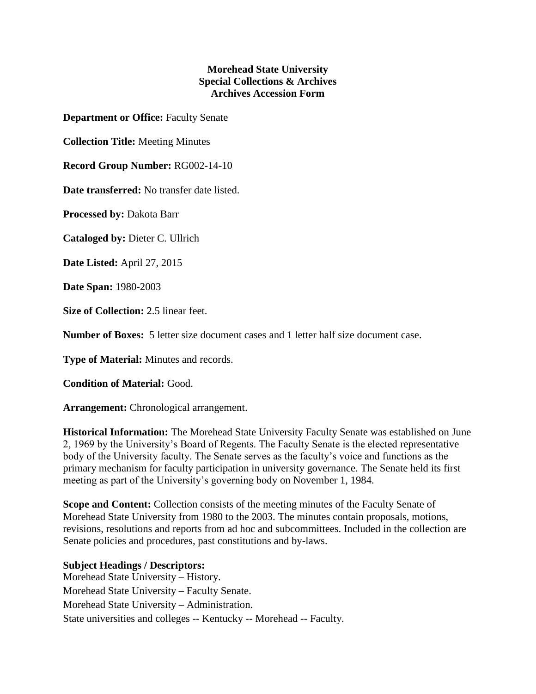## **Morehead State University Special Collections & Archives Archives Accession Form**

**Department or Office:** Faculty Senate

**Collection Title:** Meeting Minutes

**Record Group Number:** RG002-14-10

**Date transferred:** No transfer date listed.

**Processed by:** Dakota Barr

**Cataloged by:** Dieter C. Ullrich

**Date Listed:** April 27, 2015

**Date Span:** 1980-2003

**Size of Collection:** 2.5 linear feet.

**Number of Boxes:** 5 letter size document cases and 1 letter half size document case.

**Type of Material:** Minutes and records.

**Condition of Material:** Good.

**Arrangement:** Chronological arrangement.

**Historical Information:** The Morehead State University Faculty Senate was established on June 2, 1969 by the University's Board of Regents. The Faculty Senate is the elected representative body of the University faculty. The Senate serves as the faculty's voice and functions as the primary mechanism for faculty participation in university governance. The Senate held its first meeting as part of the University's governing body on November 1, 1984.

**Scope and Content:** Collection consists of the meeting minutes of the Faculty Senate of Morehead State University from 1980 to the 2003. The minutes contain proposals, motions, revisions, resolutions and reports from ad hoc and subcommittees. Included in the collection are Senate policies and procedures, past constitutions and by-laws.

**Subject Headings / Descriptors:** Morehead State University – History. Morehead State University – Faculty Senate. Morehead State University – Administration. State universities and colleges -- Kentucky -- Morehead -- Faculty.